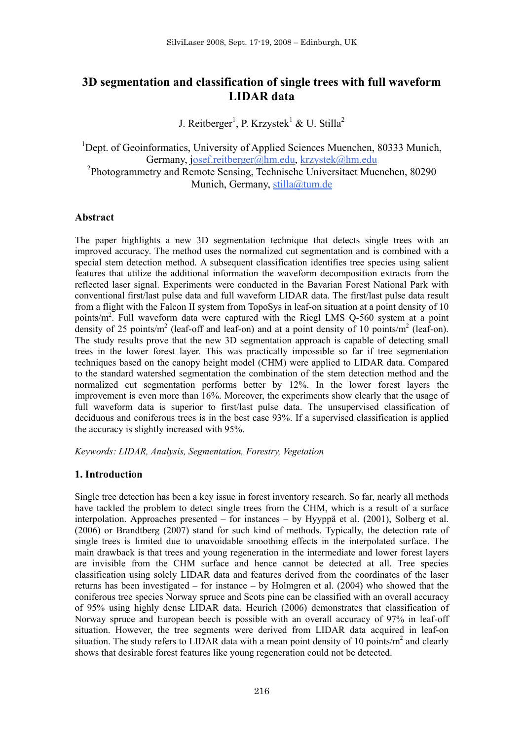# **3D segmentation and classification of single trees with full waveform LIDAR data**

J. Reitberger<sup>1</sup>, P. Krzystek<sup>1</sup> & U. Stilla<sup>2</sup>

<sup>1</sup>Dept. of Geoinformatics, University of Applied Sciences Muenchen, 80333 Munich, Germany, josef.reitberger@hm.edu, krzystek@hm.edu 2 Photogrammetry and Remote Sensing, Technische Universitaet Muenchen, 80290 Munich, Germany, stilla@tum.de

### **Abstract**

The paper highlights a new 3D segmentation technique that detects single trees with an improved accuracy. The method uses the normalized cut segmentation and is combined with a special stem detection method. A subsequent classification identifies tree species using salient features that utilize the additional information the waveform decomposition extracts from the reflected laser signal. Experiments were conducted in the Bavarian Forest National Park with conventional first/last pulse data and full waveform LIDAR data. The first/last pulse data result from a flight with the Falcon II system from TopoSys in leaf-on situation at a point density of 10 points/ $m^2$ . Full waveform data were captured with the Riegl LMS Q-560 system at a point density of 25 points/m<sup>2</sup> (leaf-off and leaf-on) and at a point density of 10 points/m<sup>2</sup> (leaf-on). The study results prove that the new 3D segmentation approach is capable of detecting small trees in the lower forest layer. This was practically impossible so far if tree segmentation techniques based on the canopy height model (CHM) were applied to LIDAR data. Compared to the standard watershed segmentation the combination of the stem detection method and the normalized cut segmentation performs better by 12%. In the lower forest layers the improvement is even more than 16%. Moreover, the experiments show clearly that the usage of full waveform data is superior to first/last pulse data. The unsupervised classification of deciduous and coniferous trees is in the best case 93%. If a supervised classification is applied the accuracy is slightly increased with 95%.

*Keywords: LIDAR, Analysis, Segmentation, Forestry, Vegetation* 

# **1. Introduction**

Single tree detection has been a key issue in forest inventory research. So far, nearly all methods have tackled the problem to detect single trees from the CHM, which is a result of a surface interpolation. Approaches presented – for instances – by Hyyppä et al. (2001), Solberg et al. (2006) or Brandtberg (2007) stand for such kind of methods. Typically, the detection rate of single trees is limited due to unavoidable smoothing effects in the interpolated surface. The main drawback is that trees and young regeneration in the intermediate and lower forest layers are invisible from the CHM surface and hence cannot be detected at all. Tree species classification using solely LIDAR data and features derived from the coordinates of the laser returns has been investigated – for instance – by Holmgren et al. (2004) who showed that the coniferous tree species Norway spruce and Scots pine can be classified with an overall accuracy of 95% using highly dense LIDAR data. Heurich (2006) demonstrates that classification of Norway spruce and European beech is possible with an overall accuracy of 97% in leaf-off situation. However, the tree segments were derived from LIDAR data acquired in leaf-on situation. The study refers to LIDAR data with a mean point density of 10 points/ $m<sup>2</sup>$  and clearly shows that desirable forest features like young regeneration could not be detected.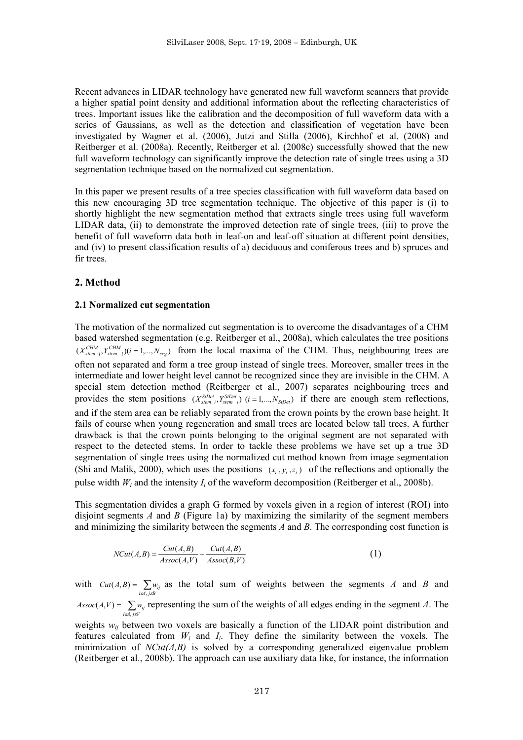Recent advances in LIDAR technology have generated new full waveform scanners that provide a higher spatial point density and additional information about the reflecting characteristics of trees. Important issues like the calibration and the decomposition of full waveform data with a series of Gaussians, as well as the detection and classification of vegetation have been investigated by Wagner et al. (2006), Jutzi and Stilla (2006), Kirchhof et al. (2008) and Reitberger et al. (2008a). Recently, Reitberger et al. (2008c) successfully showed that the new full waveform technology can significantly improve the detection rate of single trees using a 3D segmentation technique based on the normalized cut segmentation.

In this paper we present results of a tree species classification with full waveform data based on this new encouraging 3D tree segmentation technique. The objective of this paper is (i) to shortly highlight the new segmentation method that extracts single trees using full waveform LIDAR data, (ii) to demonstrate the improved detection rate of single trees, (iii) to prove the benefit of full waveform data both in leaf-on and leaf-off situation at different point densities, and (iv) to present classification results of a) deciduous and coniferous trees and b) spruces and fir trees.

## **2. Method**

### **2.1 Normalized cut segmentation**

The motivation of the normalized cut segmentation is to overcome the disadvantages of a CHM based watershed segmentation (e.g. Reitberger et al., 2008a), which calculates the tree positions  $(X_{stem_i}^{CHM}, Y_{stem_i}^{CHM})$  $(i = 1,..., N_{seg})$  from the local maxima of the CHM. Thus, neighbouring trees are often not separated and form a tree group instead of single trees. Moreover, smaller trees in the intermediate and lower height level cannot be recognized since they are invisible in the CHM. A special stem detection method (Reitberger et al., 2007) separates neighbouring trees and provides the stem positions  $(X_{stem_i}^{SIDet}, Y_{stem_i}^{SIDet})$  ( $i = 1,..., N_{SIDet}$ ) if there are enough stem reflections, and if the stem area can be reliably separated from the crown points by the crown base height. It fails of course when young regeneration and small trees are located below tall trees. A further drawback is that the crown points belonging to the original segment are not separated with respect to the detected stems. In order to tackle these problems we have set up a true 3D segmentation of single trees using the normalized cut method known from image segmentation (Shi and Malik, 2000), which uses the positions  $(x_i, y_i, z_i)$  of the reflections and optionally the pulse width  $W_i$  and the intensity  $I_i$  of the waveform decomposition (Reitberger et al., 2008b).

This segmentation divides a graph G formed by voxels given in a region of interest (ROI) into disjoint segments *A* and *B* (Figure 1a) by maximizing the similarity of the segment members and minimizing the similarity between the segments *A* and *B*. The corresponding cost function is

$$
NCut(A,B) = \frac{Cut(A,B)}{Assoc(A,V)} + \frac{Cut(A,B)}{Assoc(B,V)}
$$
(1)

with  $Cut(A, B) = \sum_{i \in A, j \in B} w_{ij}$  $(A, B) = \sum w_{ij}$  as the total sum of weights between the segments *A* and *B* and  $\text{Assoc}(A, V) = \sum_{i \in A, j \in V} w_{ij}$  $(A, V) = \sum_{w_i} w_i$  representing the sum of the weights of all edges ending in the segment *A*. The

weights  $w_{ij}$  between two voxels are basically a function of the LIDAR point distribution and features calculated from  $W_i$  and  $I_i$ . They define the similarity between the voxels. The minimization of  $NCut(A,B)$  is solved by a corresponding generalized eigenvalue problem (Reitberger et al., 2008b). The approach can use auxiliary data like, for instance, the information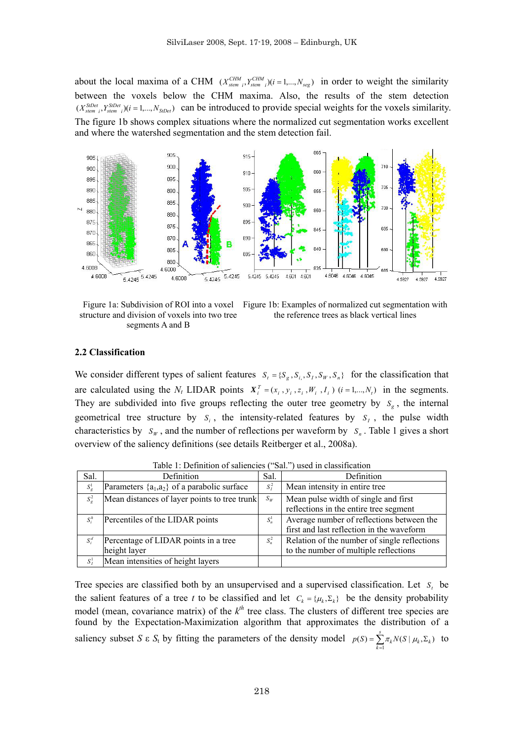about the local maxima of a CHM  $(X_{stem_i}^{CHM}, Y_{stem_i}^{CHM})$  $(i = 1,..., N_{seg})$  in order to weight the similarity between the voxels below the CHM maxima. Also, the results of the stem detection  $(X_{\text{stem }i}^{\text{SDDet}}, Y_{\text{stem }i}^{\text{SDDet}})$  (*i* = 1,...,  $N_{\text{SDDet}}$ ) can be introduced to provide special weights for the voxels similarity. The figure 1b shows complex situations where the normalized cut segmentation works excellent and where the watershed segmentation and the stem detection fail.



structure and division of voxels into two tree segments A and B

Figure 1a: Subdivision of ROI into a voxel Figure 1b: Examples of normalized cut segmentation with the reference trees as black vertical lines

#### **2.2 Classification**

We consider different types of salient features  $S_t = \{S_g, S_i, S_f, S_W, S_n\}$  for the classification that are calculated using the  $N_t$  LIDAR points  $X_i^T = (x_i, y_i, z_i, W_i, I_i)$   $(i = 1,..., N_t)$  in the segments. They are subdivided into five groups reflecting the outer tree geometry by  $S_{\sigma}$ , the internal geometrical tree structure by  $S_i$ , the intensity-related features by  $S_i$ , the pulse width characteristics by  $S_W$ , and the number of reflections per waveform by  $S_n$ . Table 1 gives a short overview of the saliency definitions (see details Reitberger et al., 2008a).

| Sal.            | Definition                                       | Sal.    | Definition                                   |
|-----------------|--------------------------------------------------|---------|----------------------------------------------|
| $S^1_{\sigma}$  | Parameters $\{a_1, a_2\}$ of a parabolic surface | $S^2$   | Mean intensity in entire tree                |
| $S^2_{\varrho}$ | Mean distances of layer points to tree trunk     | $S_W$   | Mean pulse width of single and first         |
|                 |                                                  |         | reflections in the entire tree segment       |
| $S_i^h$         | Percentiles of the LIDAR points                  | $S_n^1$ | Average number of reflections between the    |
|                 |                                                  |         | first and last reflection in the waveform    |
| $S_i^d$         | Percentage of LIDAR points in a tree             | $S_n^2$ | Relation of the number of single reflections |
|                 | height layer                                     |         | to the number of multiple reflections        |
| $S^1_i$         | Mean intensities of height layers                |         |                                              |

Table 1: Definition of saliencies ("Sal.") used in classification

Tree species are classified both by an unsupervised and a supervised classification. Let  $S_t$  be the salient features of a tree *t* to be classified and let  $C_k = \{ \mu_k, \Sigma_k \}$  be the density probability model (mean, covariance matrix) of the  $k<sup>th</sup>$  tree class. The clusters of different tree species are found by the Expectation-Maximization algorithm that approximates the distribution of a saliency subset *S*  $\epsilon$  *S*<sub>t</sub> by fitting the parameters of the density model  $p(S) = \sum_{k=1}^{S} p(k)$  $=\sum_{k=1}^{s} \pi_k N(S \mid \mu_k, \Sigma)$  $p(S) = \sum_{k=1}^n \pi_k N(S \mid \mu_k, \Sigma_k)$  $(S) = \sum \pi_k N(S \mid \mu_k, \Sigma_k)$  to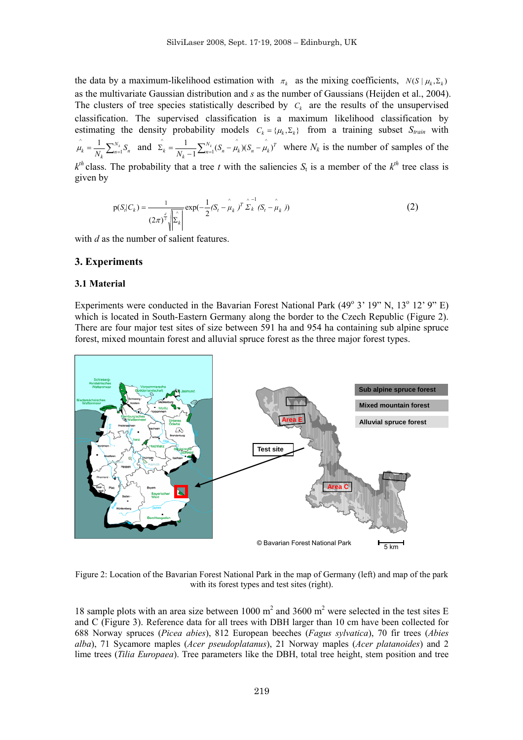the data by a maximum-likelihood estimation with  $\pi_k$  as the mixing coefficients,  $N(S | \mu_k, \Sigma_k)$ as the multivariate Gaussian distribution and *s* as the number of Gaussians (Heijden et al., 2004). The clusters of tree species statistically described by  $C_k$  are the results of the unsupervised classification. The supervised classification is a maximum likelihood classification by estimating the density probability models  $C_k = \{ \mu_k, \Sigma_k \}$  from a training subset  $S_{train}$  with  $N_k = \frac{1}{N_k} \sum_{n=1}^{N_k} S_n$  $\hat{\mu}_k = \frac{1}{N_k} \sum_{n=1}^{N_k} S_n$  and  $\hat{\Sigma}_k = \frac{1}{N_k - 1} \sum_{n=1}^{N_k} (S_n - \hat{\mu}_k)(S_n - \hat{\mu}_k)^T$ 1  $\sum_{k=1}^{\infty} \frac{1}{N_k - 1} \sum_{n=1}^{N_k} (S_n - \hat{\mu}_k)(S_n - \hat{\mu}_k)^T$  where  $N_k$  is the number of samples of the  $k^{th}$  class. The probability that a tree *t* with the saliencies  $S_t$  is a member of the  $k^{th}$  tree class is given by

$$
p(S_t|C_k) = \frac{1}{(2\pi)^{\frac{d}{2}} \sqrt{\sum_k} k} exp(-\frac{1}{2}(S_t - \hat{\mu}_k)^T \hat{\Sigma}_k (S_t - \hat{\mu}_k))
$$
 (2)

with *d* as the number of salient features.

### **3. Experiments**

#### **3.1 Material**

Experiments were conducted in the Bavarian Forest National Park  $(49^{\circ} 3' 19'' N, 13^{\circ} 12' 9'' E)$ which is located in South-Eastern Germany along the border to the Czech Republic (Figure 2). There are four major test sites of size between 591 ha and 954 ha containing sub alpine spruce forest, mixed mountain forest and alluvial spruce forest as the three major forest types.



Figure 2: Location of the Bavarian Forest National Park in the map of Germany (left) and map of the park with its forest types and test sites (right).

18 sample plots with an area size between 1000  $m^2$  and 3600  $m^2$  were selected in the test sites E and C (Figure 3). Reference data for all trees with DBH larger than 10 cm have been collected for 688 Norway spruces (*Picea abies*), 812 European beeches (*Fagus sylvatica*), 70 fir trees (*Abies alba*), 71 Sycamore maples (*Acer pseudoplatanus*), 21 Norway maples (*Acer platanoides*) and 2 lime trees (*Tilia Europaea*). Tree parameters like the DBH, total tree height, stem position and tree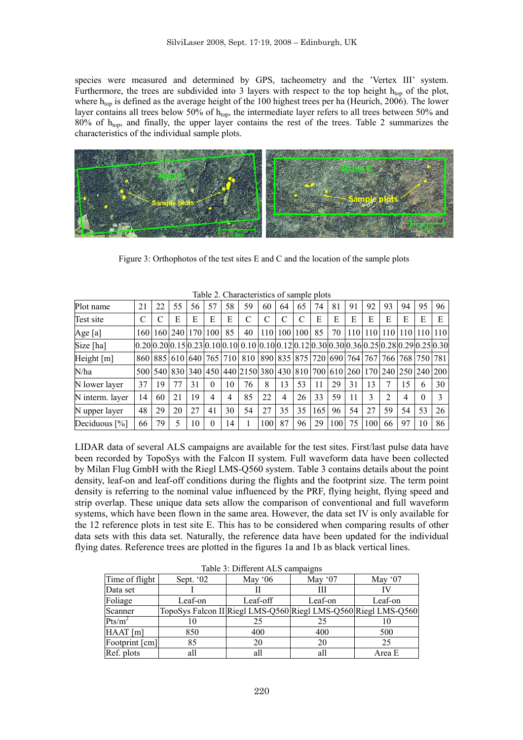species were measured and determined by GPS, tacheometry and the 'Vertex III' system. Furthermore, the trees are subdivided into 3 layers with respect to the top height  $h_{top}$  of the plot, where  $h_{\text{top}}$  is defined as the average height of the 100 highest trees per ha (Heurich, 2006). The lower layer contains all trees below 50% of h<sub>top</sub>, the intermediate layer refers to all trees between 50% and 80% of h<sub>top</sub>, and finally, the upper layer contains the rest of the trees. Table 2 summarizes the characteristics of the individual sample plots.



Figure 3: Orthophotos of the test sites E and C and the location of the sample plots

|                  |       |                         |             |              |     |    | Tuble 2. Characteristics of sample blow                                                       |     |                  |                         |     |     |     |     |     |     |                 |    |
|------------------|-------|-------------------------|-------------|--------------|-----|----|-----------------------------------------------------------------------------------------------|-----|------------------|-------------------------|-----|-----|-----|-----|-----|-----|-----------------|----|
| Plot name        | 21    | 22                      | 55          | 56           | 57  | 58 | 59                                                                                            | 60  | 64               | 65                      | 74  | 81  | 91  | 92  | 93  | 94  | 95              | 96 |
| Test site        | C     |                         | E           | E            | E   | E  | C                                                                                             | C   |                  |                         | Е   | E   | E   | E   | Е   | Е   | E               | Е  |
| Age [a]          | 1601  |                         | 160 240 170 |              | 100 | 85 | 40                                                                                            | 110 | 100 <sup> </sup> | 100                     | 85  | 70  | 110 | 110 | 110 | 110 | 110 110         |    |
| Size [ha]        |       |                         |             |              |     |    | $[0.20]0.20]0.15]0.23]0.10[0.10]0.10]0.10[0.12]0.12]0.20]0.30[0.36]0.25[0.28]0.29]0.25[0.30]$ |     |                  |                         |     |     |     |     |     |     |                 |    |
| Height $[m]$     |       | 860 885 610 640 765 710 |             |              |     |    | 810                                                                                           |     |                  | 890 835 875 720 690 764 |     |     |     | 767 | 766 |     | 768   750   781 |    |
| N/ha             | 500 l |                         | 540 830     | 340          |     |    | 450 440 2150 380 430 810 700 610 260 170 240 250 240 200                                      |     |                  |                         |     |     |     |     |     |     |                 |    |
| N lower layer    | 37    | 19                      | 77          | 31           | 0   | 10 | 76                                                                                            | 8   | 13               | 53                      | 11  | 29  | 31  | 13  |     | 15  | 6               | 30 |
| N interm. layer  | 14    | 60                      | 21          | 19           | 4   |    | 85                                                                                            | 22  | $\overline{4}$   | 26                      | 33  | 59  | 11  | 3   | 2   | 4   |                 | 3  |
| N upper layer    | 48    | 29                      | 20          | 27           | 41  | 30 | 54                                                                                            | 27  | 35               | 35                      | 165 | 96  | 54  | 27  | 59  | 54  | 53              | 26 |
| Deciduous $[\%]$ | 66    | 79                      |             | $10^{\circ}$ | 0   | 14 |                                                                                               | 100 | 87               | 96                      | 29  | 100 | 75  | 100 | 66  | 97  | 10              | 86 |

Table 2. Characteristics of sample plots

LIDAR data of several ALS campaigns are available for the test sites. First/last pulse data have been recorded by TopoSys with the Falcon II system. Full waveform data have been collected by Milan Flug GmbH with the Riegl LMS-Q560 system. Table 3 contains details about the point density, leaf-on and leaf-off conditions during the flights and the footprint size. The term point density is referring to the nominal value influenced by the PRF, flying height, flying speed and strip overlap. These unique data sets allow the comparison of conventional and full waveform systems, which have been flown in the same area. However, the data set IV is only available for the 12 reference plots in test site E. This has to be considered when comparing results of other data sets with this data set. Naturally, the reference data have been updated for the individual flying dates. Reference trees are plotted in the figures 1a and 1b as black vertical lines.

| $10010$ $\sigma$ . B $11101$ cm $\sigma$ 1 $1100$ cumputed 10 |                                                                |          |         |          |  |  |  |
|---------------------------------------------------------------|----------------------------------------------------------------|----------|---------|----------|--|--|--|
| Time of flight                                                | Sept. '02                                                      | May $06$ | May '07 | May $07$ |  |  |  |
| Data set                                                      |                                                                |          |         |          |  |  |  |
| Foliage                                                       | Leaf-on                                                        | Leaf-off | Leaf-on | Leaf-on  |  |  |  |
| Scanner                                                       | TopoSys Falcon II Riegl LMS-Q560 Riegl LMS-Q560 Riegl LMS-Q560 |          |         |          |  |  |  |
| Pts/m <sup>2</sup>                                            | 10                                                             | 25       | 25      |          |  |  |  |
| HAAT[m]                                                       | 850                                                            | 400      | 400     | 500      |  |  |  |
| Footprint [cm]                                                | 85                                                             | 20       | 20      | 25       |  |  |  |
| Ref. plots                                                    | all                                                            | all      | all     | Area E   |  |  |  |

Table 3: Different ALS campaigns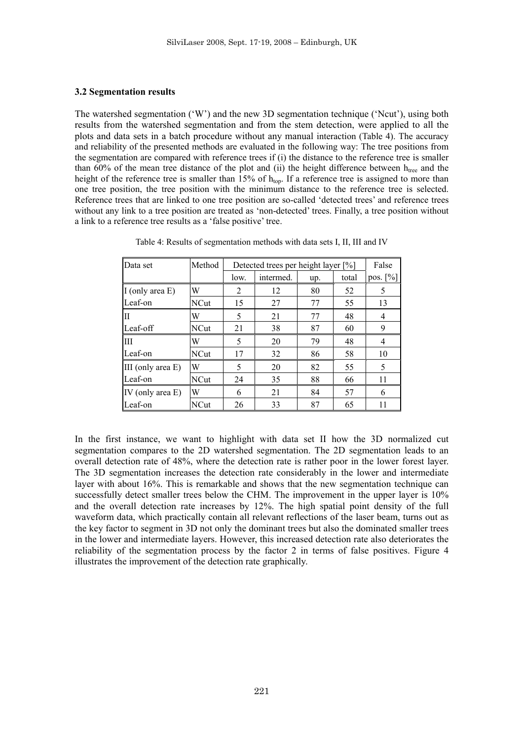### **3.2 Segmentation results**

The watershed segmentation ('W') and the new 3D segmentation technique ('Ncut'), using both results from the watershed segmentation and from the stem detection, were applied to all the plots and data sets in a batch procedure without any manual interaction (Table 4). The accuracy and reliability of the presented methods are evaluated in the following way: The tree positions from the segmentation are compared with reference trees if (i) the distance to the reference tree is smaller than  $60\%$  of the mean tree distance of the plot and (ii) the height difference between  $h_{tree}$  and the height of the reference tree is smaller than 15% of  $h_{\text{ton}}$ . If a reference tree is assigned to more than one tree position, the tree position with the minimum distance to the reference tree is selected. Reference trees that are linked to one tree position are so-called 'detected trees' and reference trees without any link to a tree position are treated as 'non-detected' trees. Finally, a tree position without a link to a reference tree results as a 'false positive' tree.

| Data set             | Method      |                | Detected trees per height layer [%] |     |       |             |  |  |
|----------------------|-------------|----------------|-------------------------------------|-----|-------|-------------|--|--|
|                      |             | low.           | intermed.                           | up. | total | pos. $[\%]$ |  |  |
| I (only area E)      | W           | $\overline{2}$ | 12                                  | 80  | 52    | 5           |  |  |
| Leaf-on              | <b>NCut</b> | 15             | 27                                  | 77  | 55    | 13          |  |  |
| Π                    | W           | 5              | 21                                  | 77  | 48    | 4           |  |  |
| Leaf-off             | NCut        | 21             | 38                                  | 87  | 60    | 9           |  |  |
| Ш                    | W           | 5              | 20                                  | 79  | 48    | 4           |  |  |
| Leaf-on              | NCut        | 17             | 32                                  | 86  | 58    | 10          |  |  |
| III (only area $E$ ) | W           | 5              | 20                                  | 82  | 55    | 5           |  |  |
| Leaf-on              | NCut        | 24             | 35                                  | 88  | 66    | 11          |  |  |
| IV (only area E)     | W           | 6              | 21                                  | 84  | 57    | 6           |  |  |
| Leaf-on              | <b>NCut</b> | 26             | 33                                  | 87  | 65    | 11          |  |  |

Table 4: Results of segmentation methods with data sets I, II, III and IV

In the first instance, we want to highlight with data set II how the 3D normalized cut segmentation compares to the 2D watershed segmentation. The 2D segmentation leads to an overall detection rate of 48%, where the detection rate is rather poor in the lower forest layer. The 3D segmentation increases the detection rate considerably in the lower and intermediate layer with about 16%. This is remarkable and shows that the new segmentation technique can successfully detect smaller trees below the CHM. The improvement in the upper layer is 10% and the overall detection rate increases by 12%. The high spatial point density of the full waveform data, which practically contain all relevant reflections of the laser beam, turns out as the key factor to segment in 3D not only the dominant trees but also the dominated smaller trees in the lower and intermediate layers. However, this increased detection rate also deteriorates the reliability of the segmentation process by the factor 2 in terms of false positives. Figure 4 illustrates the improvement of the detection rate graphically.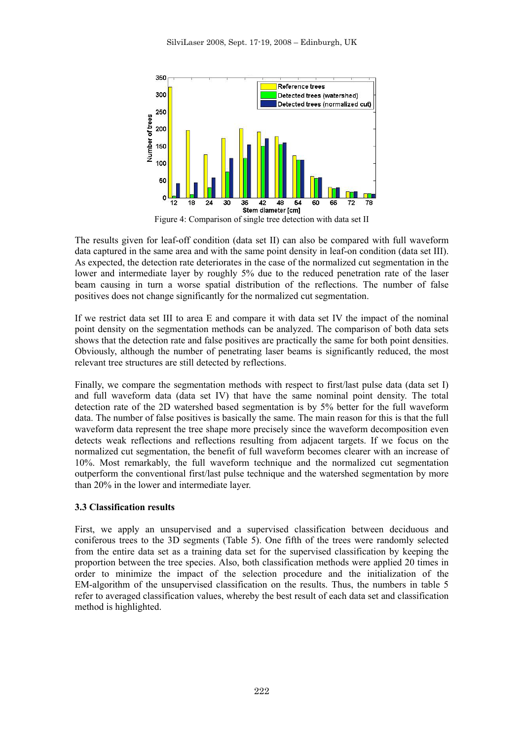

Figure 4: Comparison of single tree detection with data set II

The results given for leaf-off condition (data set II) can also be compared with full waveform data captured in the same area and with the same point density in leaf-on condition (data set III). As expected, the detection rate deteriorates in the case of the normalized cut segmentation in the lower and intermediate layer by roughly 5% due to the reduced penetration rate of the laser beam causing in turn a worse spatial distribution of the reflections. The number of false positives does not change significantly for the normalized cut segmentation.

If we restrict data set III to area E and compare it with data set IV the impact of the nominal point density on the segmentation methods can be analyzed. The comparison of both data sets shows that the detection rate and false positives are practically the same for both point densities. Obviously, although the number of penetrating laser beams is significantly reduced, the most relevant tree structures are still detected by reflections.

Finally, we compare the segmentation methods with respect to first/last pulse data (data set I) and full waveform data (data set IV) that have the same nominal point density. The total detection rate of the 2D watershed based segmentation is by 5% better for the full waveform data. The number of false positives is basically the same. The main reason for this is that the full waveform data represent the tree shape more precisely since the waveform decomposition even detects weak reflections and reflections resulting from adjacent targets. If we focus on the normalized cut segmentation, the benefit of full waveform becomes clearer with an increase of 10%. Most remarkably, the full waveform technique and the normalized cut segmentation outperform the conventional first/last pulse technique and the watershed segmentation by more than 20% in the lower and intermediate layer.

# **3.3 Classification results**

First, we apply an unsupervised and a supervised classification between deciduous and coniferous trees to the 3D segments (Table 5). One fifth of the trees were randomly selected from the entire data set as a training data set for the supervised classification by keeping the proportion between the tree species. Also, both classification methods were applied 20 times in order to minimize the impact of the selection procedure and the initialization of the EM-algorithm of the unsupervised classification on the results. Thus, the numbers in table 5 refer to averaged classification values, whereby the best result of each data set and classification method is highlighted.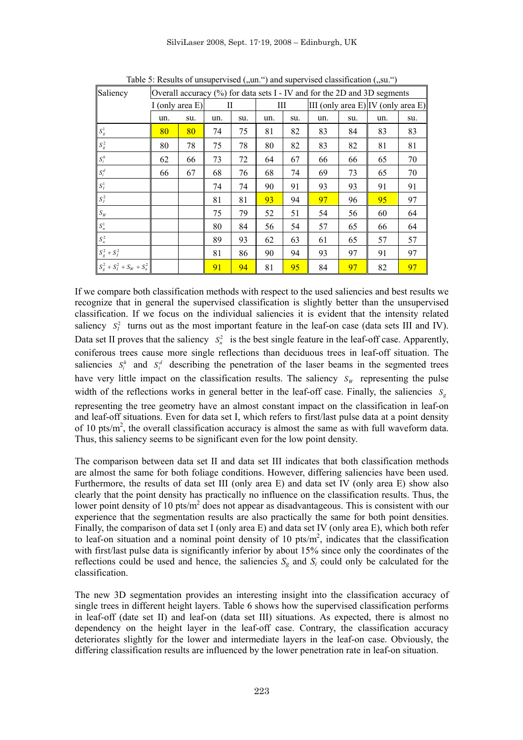SilviLaser 2008, Sept. 17-19, 2008 – Edinburgh, UK

| Saliency                      | Overall accuracy (%) for data sets I - IV and for the 2D and 3D segments |     |     |     |     |     |                                    |     |     |     |
|-------------------------------|--------------------------------------------------------------------------|-----|-----|-----|-----|-----|------------------------------------|-----|-----|-----|
|                               | I (only area $E$ )                                                       |     | Н   |     | Ш   |     | III (only area E) IV (only area E) |     |     |     |
|                               | un.                                                                      | su. | un. | su. | un. | SU. | un.                                | su. | un. | SU. |
| $S_g^1$                       | 80                                                                       | 80  | 74  | 75  | 81  | 82  | 83                                 | 84  | 83  | 83  |
| $S_g^2$                       | 80                                                                       | 78  | 75  | 78  | 80  | 82  | 83                                 | 82  | 81  | 81  |
| $\boldsymbol{S}_i^h$          | 62                                                                       | 66  | 73  | 72  | 64  | 67  | 66                                 | 66  | 65  | 70  |
| $S_i^d$                       | 66                                                                       | 67  | 68  | 76  | 68  | 74  | 69                                 | 73  | 65  | 70  |
| $\boldsymbol{S}^1_I$          |                                                                          |     | 74  | 74  | 90  | 91  | 93                                 | 93  | 91  | 91  |
| $S_I^2$                       |                                                                          |     | 81  | 81  | 93  | 94  | 97                                 | 96  | 95  | 97  |
| $S_{\scriptscriptstyle W}$    |                                                                          |     | 75  | 79  | 52  | 51  | 54                                 | 56  | 60  | 64  |
| $S_n^1$                       |                                                                          |     | 80  | 84  | 56  | 54  | 57                                 | 65  | 66  | 64  |
| $S_n^2$                       |                                                                          |     | 89  | 93  | 62  | 63  | 61                                 | 65  | 57  | 57  |
| $S_g^2 + S_I^2$               |                                                                          |     | 81  | 86  | 90  | 94  | 93                                 | 97  | 91  | 97  |
| $S_g^2 + S_I^2 + S_W + S_n^2$ |                                                                          |     | 91  | 94  | 81  | 95  | 84                                 | 97  | 82  | 97  |

Table 5: Results of unsupervised  $($ , un.  $)$  and supervised classification  $($ , su.  $)$ 

If we compare both classification methods with respect to the used saliencies and best results we recognize that in general the supervised classification is slightly better than the unsupervised classification. If we focus on the individual saliencies it is evident that the intensity related saliency  $S_I^2$  turns out as the most important feature in the leaf-on case (data sets III and IV). Data set II proves that the saliency  $S_n^2$  is the best single feature in the leaf-off case. Apparently, coniferous trees cause more single reflections than deciduous trees in leaf-off situation. The saliencies  $S_i^h$  and  $S_i^d$  describing the penetration of the laser beams in the segmented trees have very little impact on the classification results. The saliency  $S_W$  representing the pulse width of the reflections works in general better in the leaf-off case. Finally, the saliencies  $S_g$ representing the tree geometry have an almost constant impact on the classification in leaf-on and leaf-off situations. Even for data set I, which refers to first/last pulse data at a point density of 10 pts/ $m<sup>2</sup>$ , the overall classification accuracy is almost the same as with full waveform data. Thus, this saliency seems to be significant even for the low point density.

The comparison between data set II and data set III indicates that both classification methods are almost the same for both foliage conditions. However, differing saliencies have been used. Furthermore, the results of data set III (only area E) and data set IV (only area E) show also clearly that the point density has practically no influence on the classification results. Thus, the lower point density of 10 pts/ $m<sup>2</sup>$  does not appear as disadvantageous. This is consistent with our experience that the segmentation results are also practically the same for both point densities. Finally, the comparison of data set I (only area E) and data set IV (only area E), which both refer to leaf-on situation and a nominal point density of 10 pts/ $m<sup>2</sup>$ , indicates that the classification with first/last pulse data is significantly inferior by about 15% since only the coordinates of the reflections could be used and hence, the saliencies  $S_g$  and  $S_i$  could only be calculated for the classification.

The new 3D segmentation provides an interesting insight into the classification accuracy of single trees in different height layers. Table 6 shows how the supervised classification performs in leaf-off (date set II) and leaf-on (data set III) situations. As expected, there is almost no dependency on the height layer in the leaf-off case. Contrary, the classification accuracy deteriorates slightly for the lower and intermediate layers in the leaf-on case. Obviously, the differing classification results are influenced by the lower penetration rate in leaf-on situation.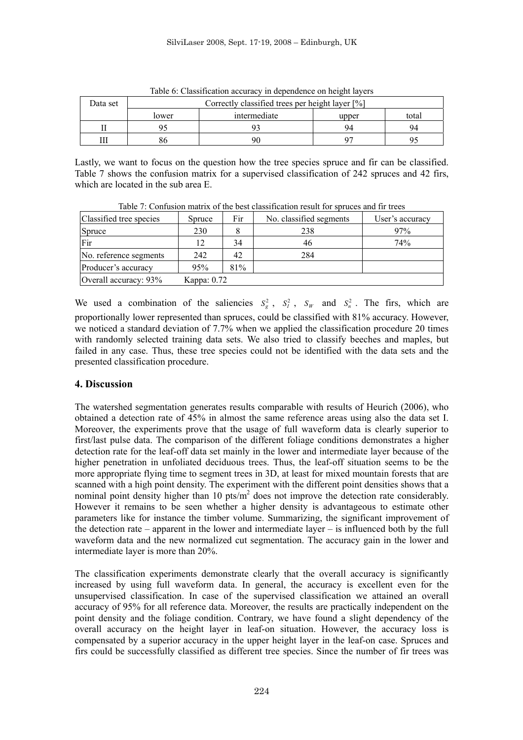| Data set | Table 0. Classification accuracy in dependence on height layers<br>Correctly classified trees per height layer [%] |              |       |       |  |  |  |  |
|----------|--------------------------------------------------------------------------------------------------------------------|--------------|-------|-------|--|--|--|--|
|          | lower                                                                                                              | intermediate | upper | total |  |  |  |  |
|          |                                                                                                                    |              | 94    | 94    |  |  |  |  |
|          |                                                                                                                    | 90           |       |       |  |  |  |  |

Table 6: Classification accuracy in dependence on height layers

Lastly, we want to focus on the question how the tree species spruce and fir can be classified. Table 7 shows the confusion matrix for a supervised classification of 242 spruces and 42 firs, which are located in the sub area E.

|                         | Tuble 7. Common matrix of the best endomedition result for spraces and in trees |     |                         |                 |  |  |  |  |  |
|-------------------------|---------------------------------------------------------------------------------|-----|-------------------------|-----------------|--|--|--|--|--|
| Classified tree species | <b>Spruce</b>                                                                   | Fir | No. classified segments | User's accuracy |  |  |  |  |  |
| Spruce                  | 230                                                                             |     | 238                     | 97%             |  |  |  |  |  |
| Fir                     |                                                                                 | 34  | 46                      | 74%             |  |  |  |  |  |
| No. reference segments  | 242                                                                             | 42  | 284                     |                 |  |  |  |  |  |
| Producer's accuracy     | 95%                                                                             | 81% |                         |                 |  |  |  |  |  |
| Overall accuracy: 93%   | Kappa: 0.72                                                                     |     |                         |                 |  |  |  |  |  |

Table 7: Confusion matrix of the best classification result for spruces and fir trees

We used a combination of the saliencies  $S_g^2$ ,  $S_l^2$ ,  $S_w$  and  $S_n^2$ . The firs, which are proportionally lower represented than spruces, could be classified with 81% accuracy. However, we noticed a standard deviation of 7.7% when we applied the classification procedure 20 times with randomly selected training data sets. We also tried to classify beeches and maples, but failed in any case. Thus, these tree species could not be identified with the data sets and the presented classification procedure.

# **4. Discussion**

The watershed segmentation generates results comparable with results of Heurich (2006), who obtained a detection rate of 45% in almost the same reference areas using also the data set I. Moreover, the experiments prove that the usage of full waveform data is clearly superior to first/last pulse data. The comparison of the different foliage conditions demonstrates a higher detection rate for the leaf-off data set mainly in the lower and intermediate layer because of the higher penetration in unfoliated deciduous trees. Thus, the leaf-off situation seems to be the more appropriate flying time to segment trees in 3D, at least for mixed mountain forests that are scanned with a high point density. The experiment with the different point densities shows that a nominal point density higher than 10  $pts/m<sup>2</sup>$  does not improve the detection rate considerably. However it remains to be seen whether a higher density is advantageous to estimate other parameters like for instance the timber volume. Summarizing, the significant improvement of the detection rate – apparent in the lower and intermediate layer – is influenced both by the full waveform data and the new normalized cut segmentation. The accuracy gain in the lower and intermediate layer is more than 20%.

The classification experiments demonstrate clearly that the overall accuracy is significantly increased by using full waveform data. In general, the accuracy is excellent even for the unsupervised classification. In case of the supervised classification we attained an overall accuracy of 95% for all reference data. Moreover, the results are practically independent on the point density and the foliage condition. Contrary, we have found a slight dependency of the overall accuracy on the height layer in leaf-on situation. However, the accuracy loss is compensated by a superior accuracy in the upper height layer in the leaf-on case. Spruces and firs could be successfully classified as different tree species. Since the number of fir trees was